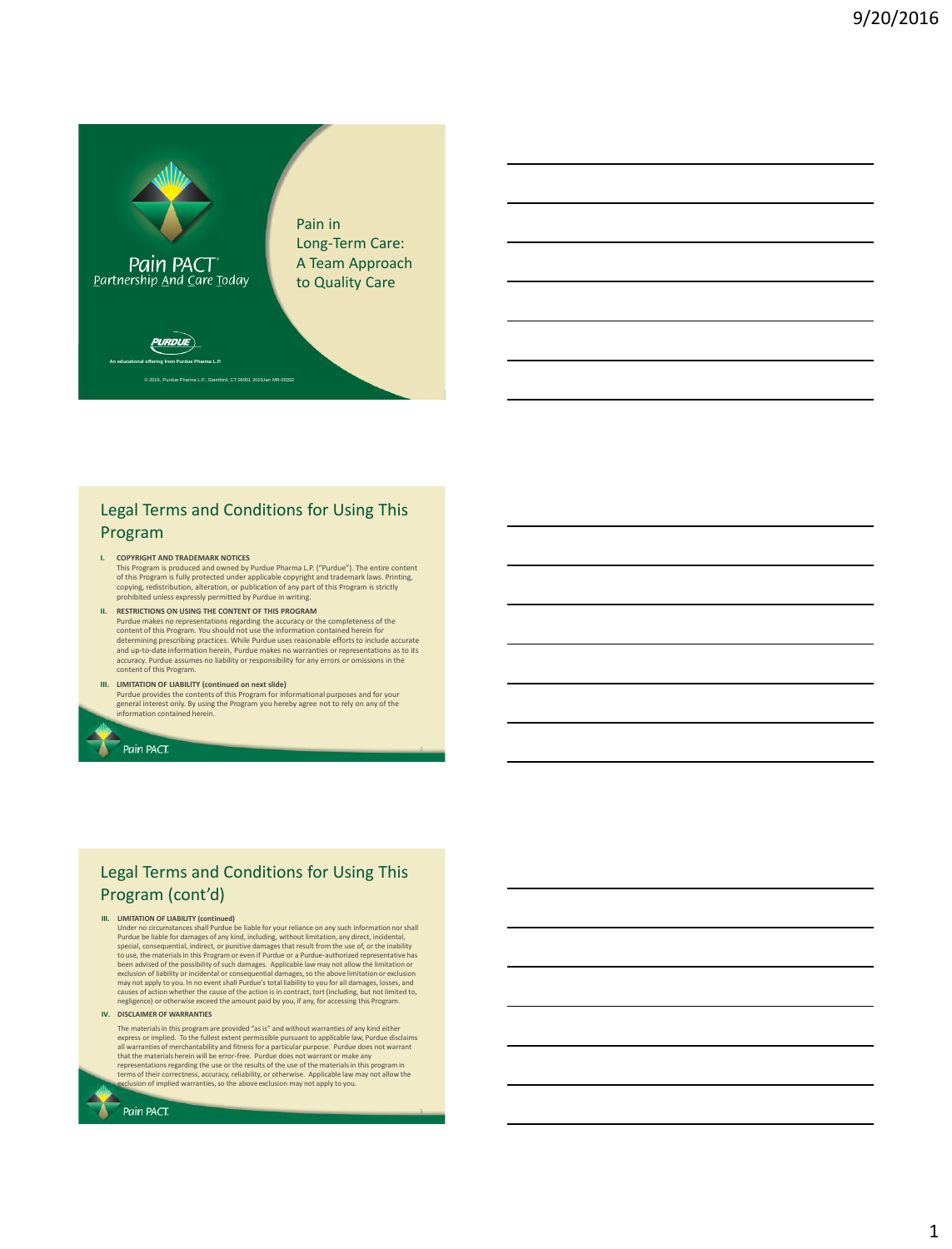

### Legal Terms and Conditions for Using This Program

- **I. COPYRIGHT AND TRADEMARK NOTICES**  This Program is produced and owned by Purdue Pharma L.P. ("Purdue"). The entire content of this Program is fully protected under applicable copyright and trademark laws. Printing, copying, redistribution, alteration, or publication of any part of this Program is strictly prohibited unless expressly permitted by Purdue in writing.
- **II. RESTRICTIONS ON USING THE CONTENT OF THIS PROGRAM** Purdue makes no representations regarding the accuracy or the completeness of the<br>content of this Program. You should not use the information contained herein for<br>determining prescribing practices. While Purdue uses reason accuracy. Purdue assumes no liability or responsibility for any errors or omissions in the content of this Program.
- III. LIMITATION OF LIABILITY (continued on next slide)<br>Purdue provides the contents of this Program for informational purposes and for your<br>general interest only. By using the Program you hereby agree not to rely on any of .<br>nformation contained herein

# Legal Terms and Conditions for Using This Program (cont'd)

### **III. LIMITATION OF LIABILITY (continued)**

Pain PACT.

Under no circumstances shall Purdue be liable for your reliance on any such information nor shall Purdue be liable for damages of any kind, including, without limitation, any direct, incidental, special, consequential, indirect, or punitive damages that result from the use of, or the inability<br>to use, the materials in this Program or even if Purdue or a Purdue-authorized representative has<br>been advised of the poss

**IV. DISCLAIMER OF WARRANTIES**

Pain PACT.

The materials in this program are provided "as is" and without warranties of any kind either express or implied. To the fullest extent permissible pursuant to applicable law, Purdue disclaims all warranties of merchantability and fitness for a particular purpose. Purdue does not warrant<br>that the materials herein will be error-free. Purdue does not warrant or make any<br>representations regarding the use or the res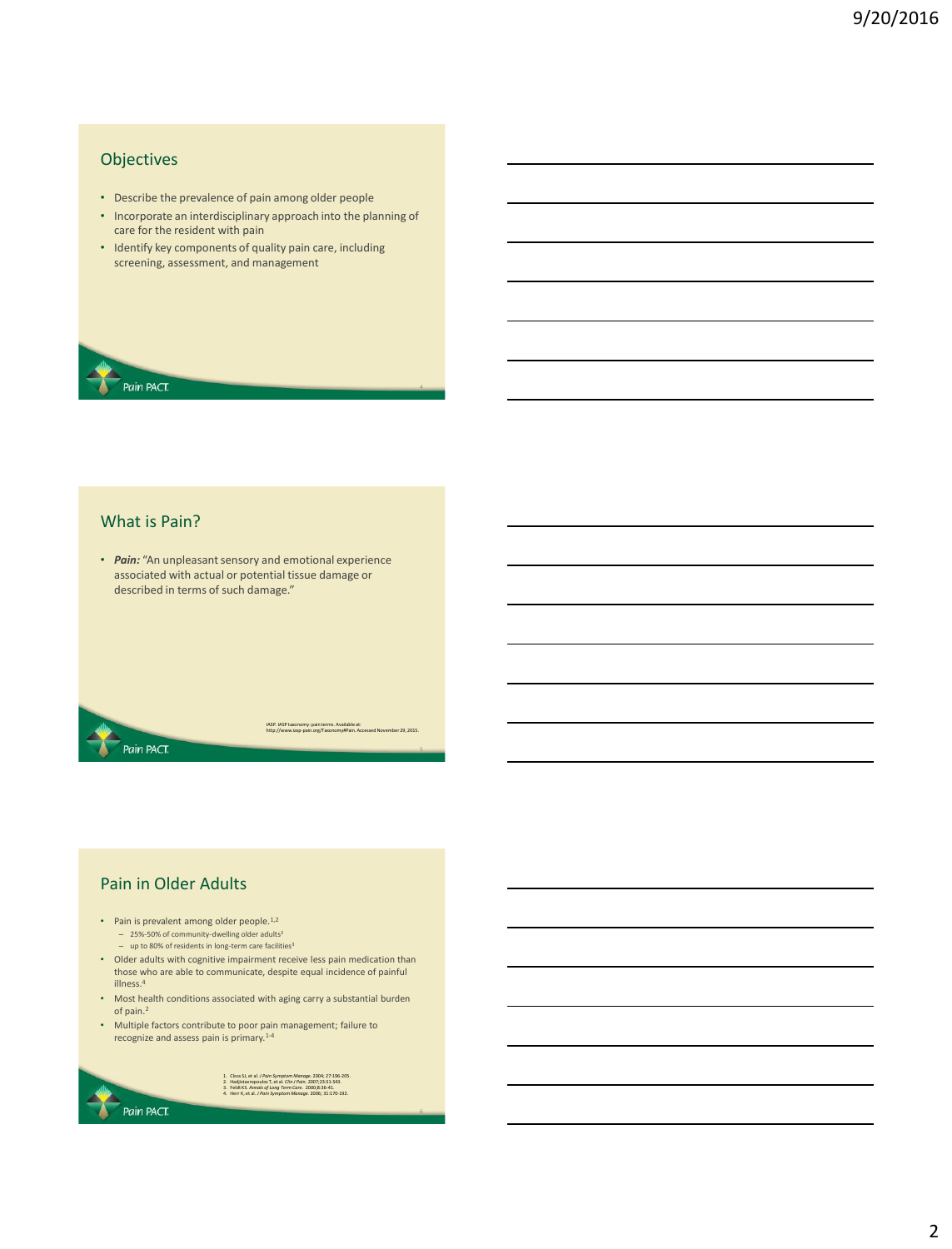### Objectives

- Describe the prevalence of pain among older people
- Incorporate an interdisciplinary approach into the planning of care for the resident with pain
- Identify key components of quality pain care, including screening, assessment, and management

### What is Pain?

Pain PACT.

Pain PACT.

• *Pain:* "An unpleasant sensory and emotional experience associated with actual or potential tissue damage or described in terms of such damage."

IASP. IASP taxonomy: pain terms. Available at: http://www.iasp-pain.org/Taxonomy#Pain. Accessed November 29, 2015.

6

# Pain in Older Adults

- Pain is prevalent among older people.<sup>1,2</sup> – 25%-50% of community-dwelling older adults<sup>2</sup> – up to 80% of residents in long-term care facilities<sup>3</sup>
- Older adults with cognitive impairment receive less pain medication than those who are able to communicate, despite equal incidence of painful illness.<sup>4</sup>
- Most health conditions associated with aging carry a substantial burden of pain.<sup>2</sup>
- Multiple factors contribute to poor pain management; failure to recognize and assess pain is primary.1-4

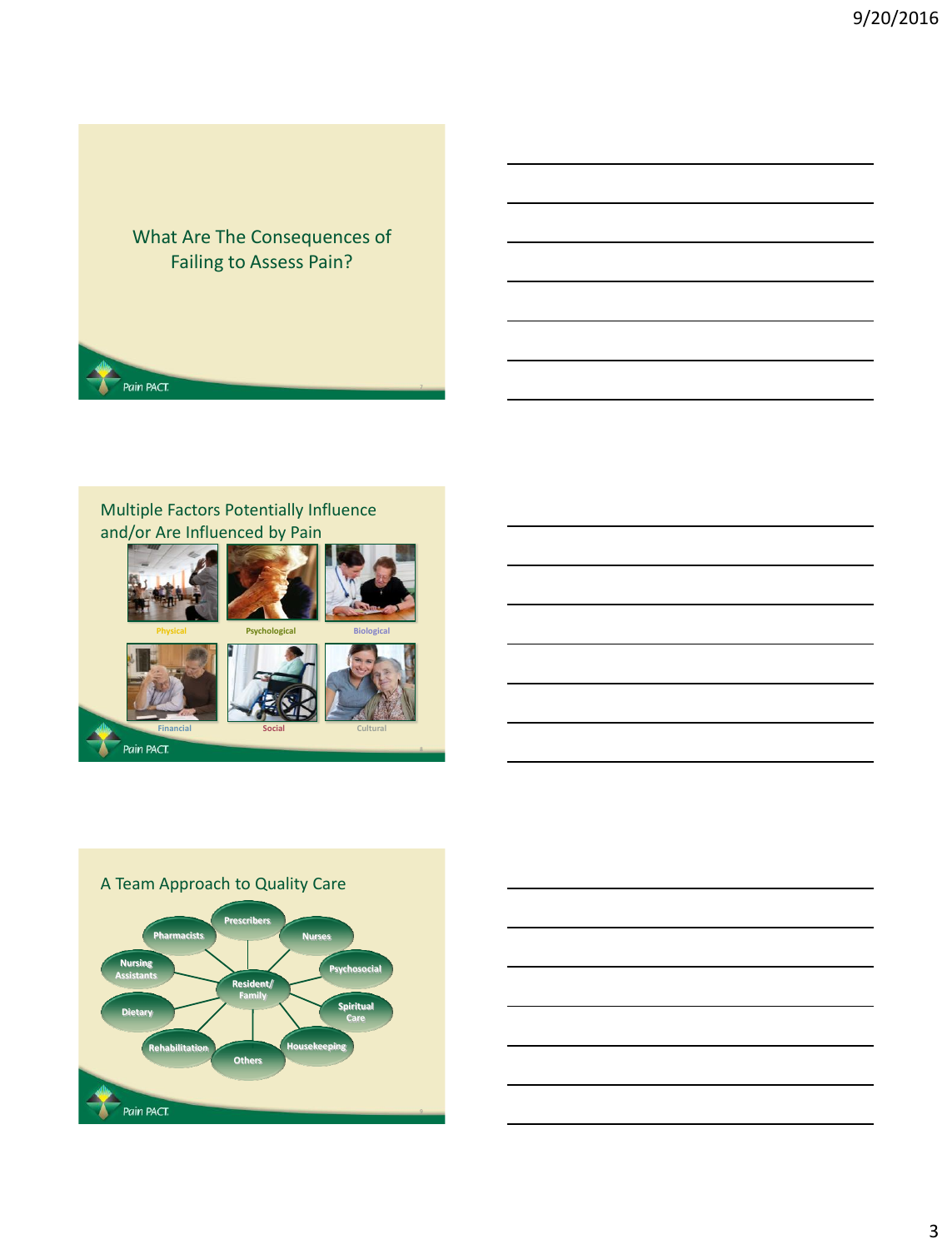# What Are The Consequences of Failing to Assess Pain?

# Multiple Factors Potentially Influence and/or Are Influenced by Pain

Pain PACT



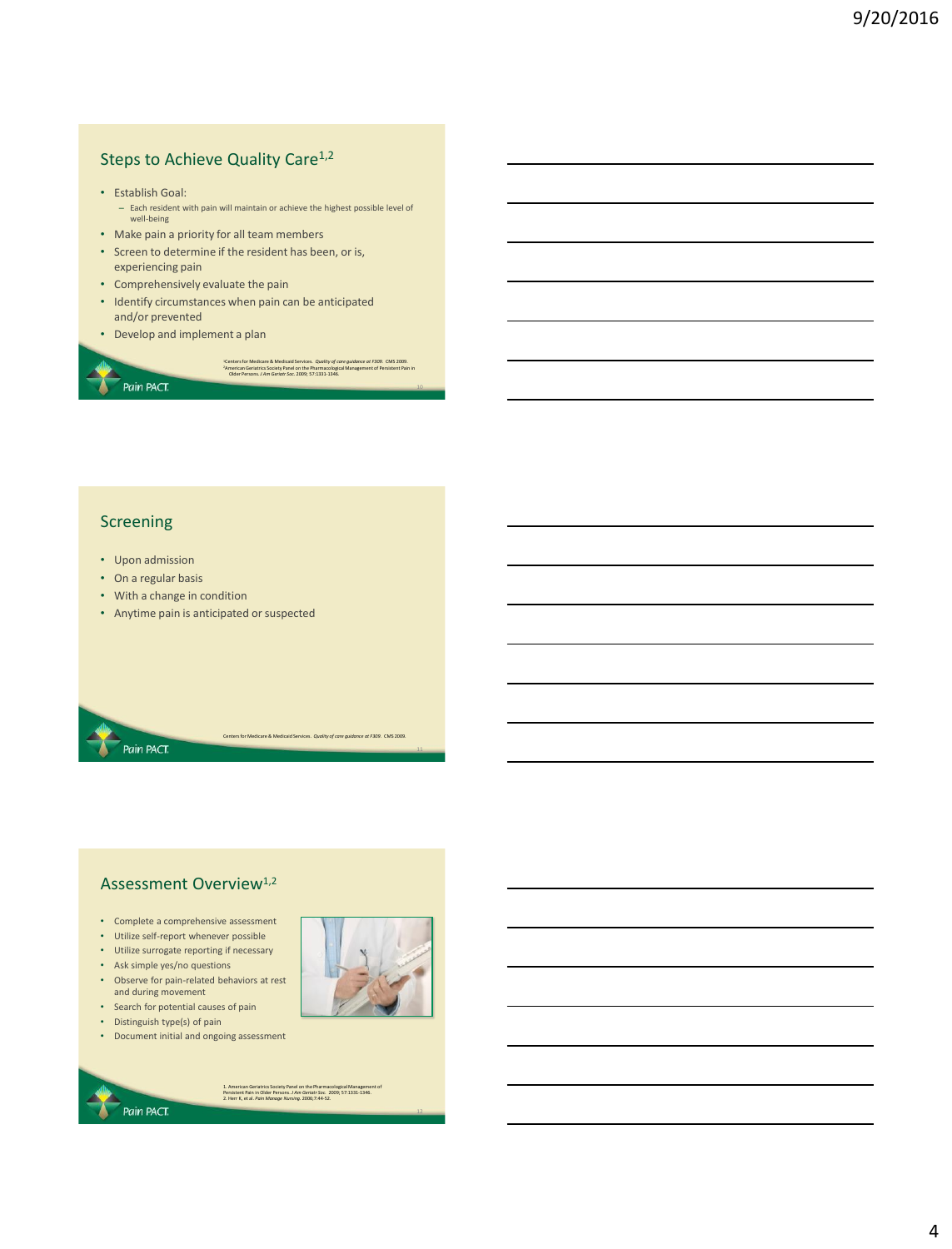# Steps to Achieve Quality Care<sup>1,2</sup>

- Establish Goal:
	- Each resident with pain will maintain or achieve the highest possible level of well-being

"Centers for Medicare & Medicaid Services. *Quality of care guidance at F309. C*MS 2009.<br>"American Geriatrics Society Panel on the Pharmacological Management of Persistent Pain in<br>- Older Persons. J Am Geriatr Soc. 20

Centers for Medicare & Medicaid Services. *Quality of care guidance at F309*. CMS 2009.

- Make pain a priority for all team members
- Screen to determine if the resident has been, or is, experiencing pain
- Comprehensively evaluate the pain
- Identify circumstances when pain can be anticipated and/or prevented
- Develop and implement a plan

### Screening

Pain PACT.

- Upon admission
- On a regular basis

Pain PACT.

- With a change in condition
- Anytime pain is anticipated or suspected

### Assessment Overview<sup>1,2</sup>

- Complete a comprehensive assessment
- Utilize self-report whenever possible
- Utilize surrogate reporting if necessary
- Ask simple yes/no questions
- Observe for pain-related behaviors at rest and during movement • Search for potential causes of pain



- Distinguish type(s) of pain
- Document initial and ongoing assessment

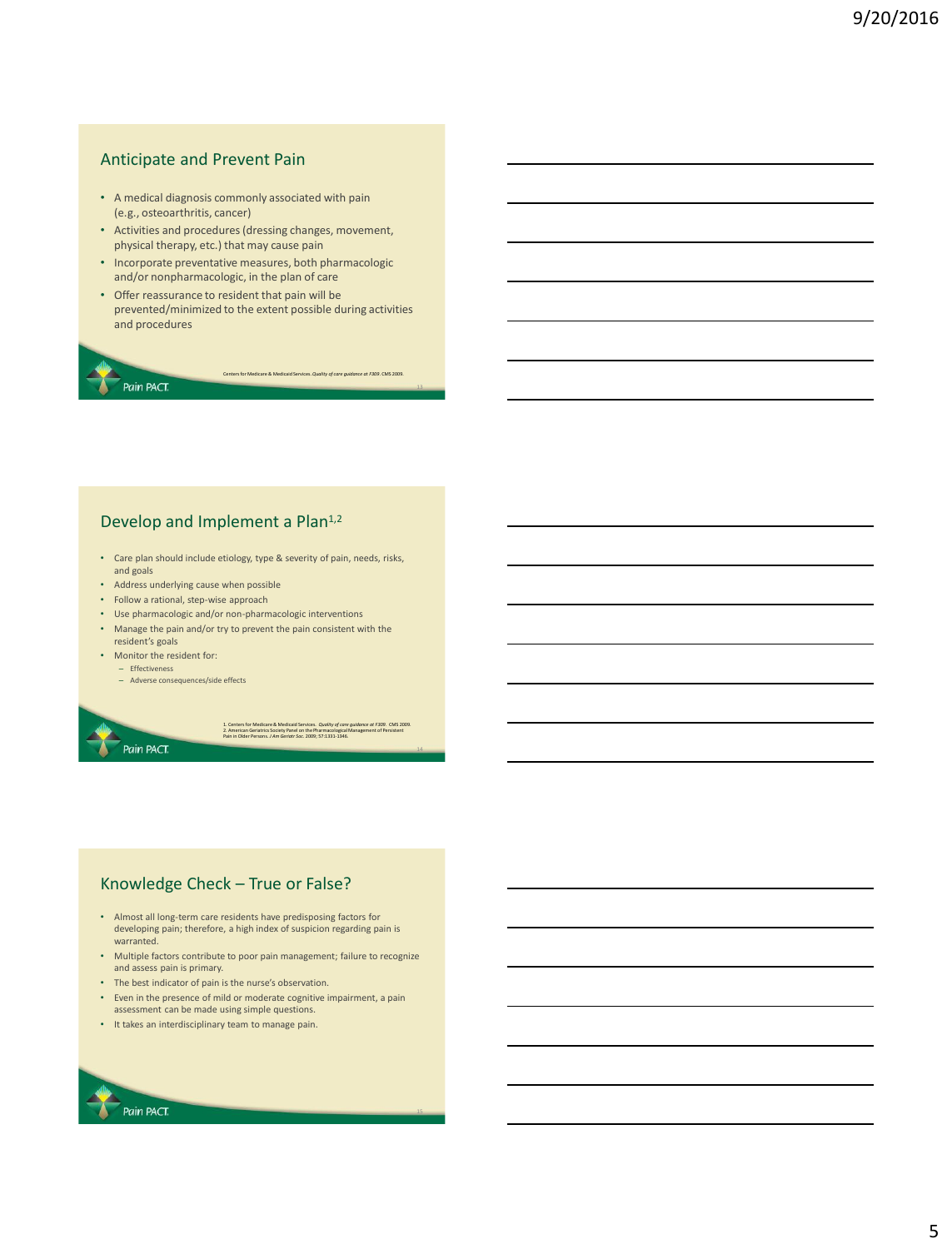# Anticipate and Prevent Pain

- A medical diagnosis commonly associated with pain (e.g., osteoarthritis, cancer)
- Activities and procedures (dressing changes, movement, physical therapy, etc.) that may cause pain
- Incorporate preventative measures, both pharmacologic and/or nonpharmacologic, in the plan of care
- Offer reassurance to resident that pain will be prevented/minimized to the extent possible during activities and procedures

Centers for Medicare & Medicaid Services. *Quality of care guidance at F309*. CMS 2009.

13

15

### Pain PACT.

## Develop and Implement a Plan<sup>1,2</sup>

- Care plan should include etiology, type & severity of pain, needs, risks, and goals
- Address underlying cause when possible
- Follow a rational, step-wise approach
- Use pharmacologic and/or non-pharmacologic interventions
- Manage the pain and/or try to prevent the pain consistent with the resident's goals
- Monitor the resident for: – Effectiveness
	- Adverse consequences/side effects



## Knowledge Check – True or False?

- Almost all long-term care residents have predisposing factors for developing pain; therefore, a high index of suspicion regarding pain is warranted.
- Multiple factors contribute to poor pain management; failure to recognize and assess pain is primary.
- The best indicator of pain is the nurse's observation.
- Even in the presence of mild or moderate cognitive impairment, a pain assessment can be made using simple questions.
- It takes an interdisciplinary team to manage pain.

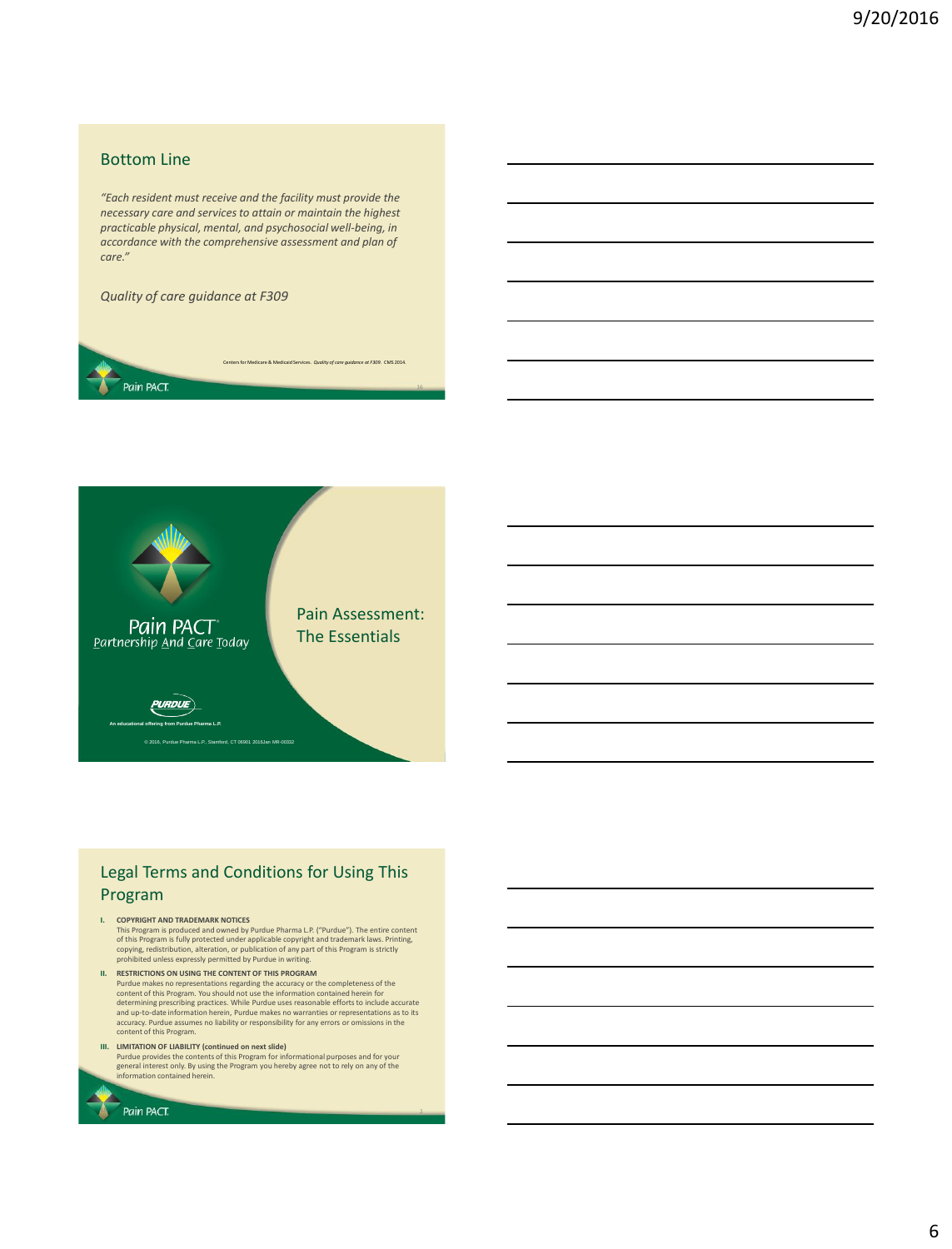### Bottom Line

*"Each resident must receive and the facility must provide the necessary care and services to attain or maintain the highest practicable physical, mental, and psychosocial well-being, in accordance with the comprehensive assessment and plan of care."*

re & Medicaid Services. *Quality of care guidance at F309*. CMS 2014.

16

*Quality of care guidance at F309* 





# Legal Terms and Conditions for Using This Program

- **I. COPYRIGHT AND TRADEMARK NOTICES**  This Program is produced and owned by Purdue Pharma L.P. ("Purdue"). The entire content<br>of this Program is fully protected under applicable copyright and trademark laws. Printing,<br>copying, redistribution, alteration, or pu
- **II. RESTRICTIONS ON USING THE CONTENT OF THIS PROGRAM** Purdue makes no representations regarding the accuracy or the completeness of the<br>content of this Program. You should not use the information contained herein for<br>determining prescribing practices. While Purdue uses reason and up-to-date information herein, Purdue makes no warranties or representations as to its accuracy. Purdue assumes no liability or responsibility for any errors or omissions in the content of this Program.
- III. LIMITATION OF LIABILITY (continued on next slide)<br>Purdue provides the contents of this Program for informational purposes and for your<br>general interest only. By using the Program you hereby agree not to rely on any of information contained herein.

Pain PACT.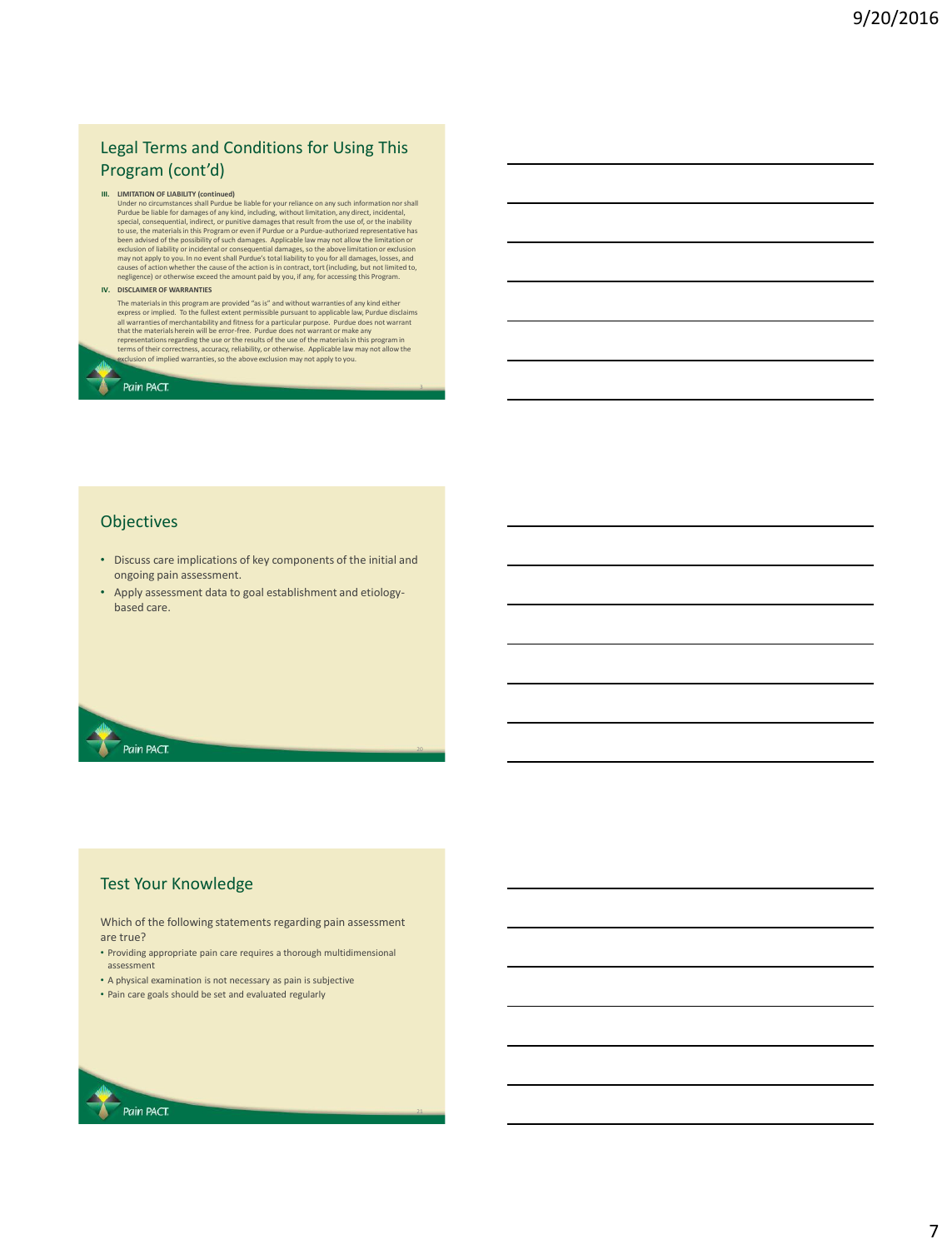# Legal Terms and Conditions for Using This Program (cont'd)

III. LIMITATION OF LIABILITY (continued be liable for your reliance on any such information nor shall<br>Purdue be liable for damages of any kind, including, without limitation, any direct, incidental,<br>Purdue be liable for da

### **IV. DISCLAIMER OF WARRANTIES**

The materials in this program are provided "as is" and without warranties of any kind either<br>express or implied. To the fullest extert permissible pursuant to applicable law, Purdue disclaims<br>all warranties of merchantabi

Pain PACT.

### **Objectives**

- Discuss care implications of key components of the initial and ongoing pain assessment.
- Apply assessment data to goal establishment and etiologybased care.

Pain PACT.

### Test Your Knowledge

Which of the following statements regarding pain assessment are true?

• Providing appropriate pain care requires a thorough multidimensional assessment

- A physical examination is not necessary as pain is subjective
- Pain care goals should be set and evaluated regularly

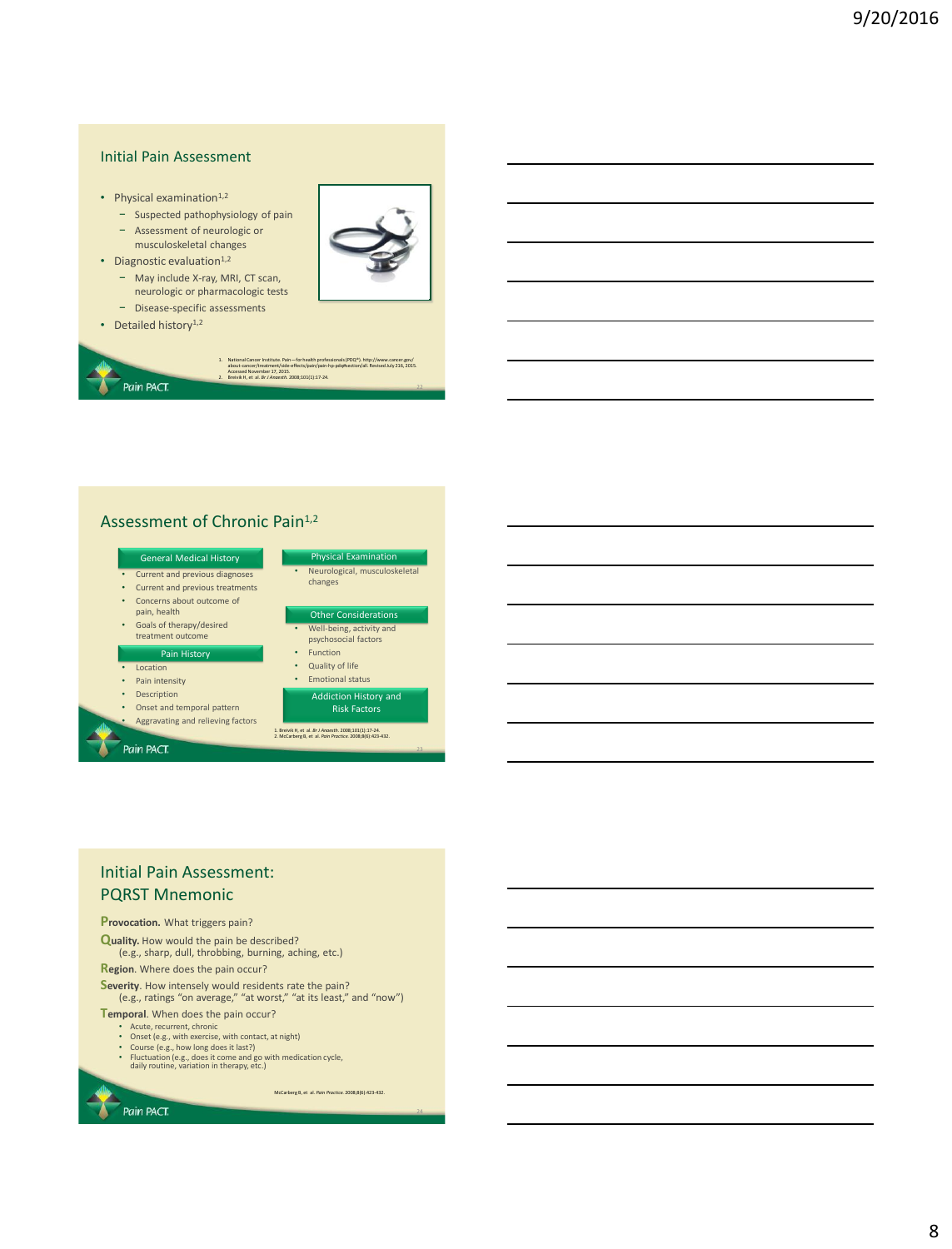### Initial Pain Assessment

- Physical examination $1,2$ 
	- − Suspected pathophysiology of pain
	- − Assessment of neurologic or
	- musculoskeletal changes
- Diagnostic evaluation $1,2$ 
	- − May include X-ray, MRI, CT scan,
		- neurologic or pharmacologic tests
- − Disease-specific assessments





### Assessment of Chronic Pain<sup>1,2</sup>



- Aggravating and relieving factors
- 

### Pain PACT.

| s | Neurological, musculoskeletal<br>changes         |
|---|--------------------------------------------------|
|   | <b>Other Considerations</b>                      |
|   | Well-being, activity and<br>psychosocial factors |
|   | <b>Function</b>                                  |
|   | Quality of life                                  |
|   | Free with a world intentional                    |

# Addiction History and Risk Factors

1. Breivik H, et al. *Br J Anaesth.* 2008;101(1):17-24. 2. McCarberg B, et al. *Pain Practice.* 2008;8(6):423-432.

## Initial Pain Assessment: PQRST Mnemonic

### **Provocation.** What triggers pain?

**Quality.** How would the pain be described? (e.g., sharp, dull, throbbing, burning, aching, etc.)

**Region**. Where does the pain occur?

**Severity**. How intensely would residents rate the pain? (e.g., ratings "on average," "at worst," "at its least," and "now")

**Temporal**. When does the pain occur?

Pain PACT.

- Acute, recurrent, chronic Onset (e.g., with exercise, with contact, at night)
- 
- Course (e.g., how long does it last?) Fluctuation (e.g., does it come and go with medication cycle, daily routine, variation in therapy, etc.)

McCarberg B, et al. *Pain Practice.* 2008;8(6):423-432.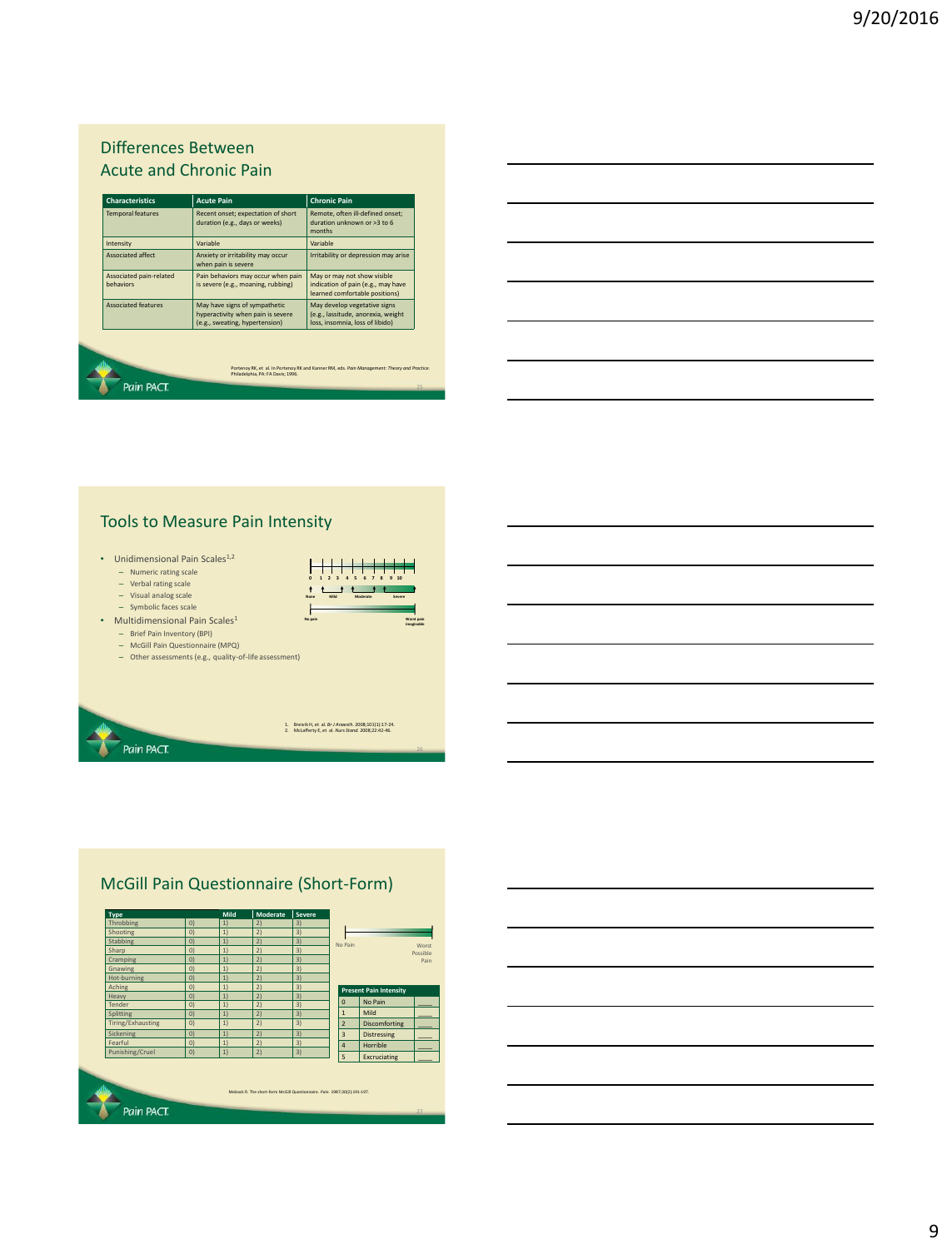# Differences Between Acute and Chronic Pain

| <b>Characteristics</b>               | <b>Acute Pain</b>                                                                                    | <b>Chronic Pain</b>                                                                                   |
|--------------------------------------|------------------------------------------------------------------------------------------------------|-------------------------------------------------------------------------------------------------------|
| <b>Temporal features</b>             | Recent onset; expectation of short<br>duration (e.g., days or weeks)                                 | Remote, often ill-defined onset;<br>duration unknown or >3 to 6<br>months                             |
| Intensity                            | Variable                                                                                             | Variable                                                                                              |
| <b>Associated affect</b>             | Anxiety or irritability may occur<br>when pain is severe                                             | Irritability or depression may arise                                                                  |
| Associated pain-related<br>hehaviors | Pain behaviors may occur when pain<br>is severe (e.g., moaning, rubbing)                             | May or may not show visible<br>indication of pain (e.g., may have<br>learned comfortable positions)   |
| <b>Associated features</b>           | May have signs of sympathetic<br>hyperactivity when pain is severe<br>(e.g., sweating, hypertension) | May develop vegetative signs<br>(e.g., lassitude, anorexia, weight<br>loss, insomnia, loss of libido) |

# Tools to Measure Pain Intensity

• Unidimensional Pain Scales<sup>1,2</sup>

- Numeric rating scale
- Verbal rating scale
- Visual analog scale Symbolic faces scale
- Multidimensional Pain Scales<sup>1</sup>
	-
	- Brief Pain Inventory (BPI) McGill Pain Questionnaire (MPQ)
	- Other assessments (e.g., quality-of-life assessment)

1. Breivik H, et al. *Br J Anaesth*. 2008;101(1):17-24. 2. McLafferty E, et al. *Nurs Stand.* 2008;22:42-46. Pain PACT.

**Worst pain imaginable**

**None Mild Moderate Severe**

H<del>||||||</del>

**0 1 2 3 4 5 6 7 8 9 10**

**No pain**

# McGill Pain Questionnaire (Short-Form)

| <b>Type</b>       |                   | Mild | Moderate                                                                  | <b>Severe</b> |                |                               |          |
|-------------------|-------------------|------|---------------------------------------------------------------------------|---------------|----------------|-------------------------------|----------|
| Throbbing         | $\vert 0 \rangle$ | 1)   | 2)                                                                        | 3)            |                |                               |          |
| Shooting          | $\overline{O}$    | 1)   | 2)                                                                        | 3)            |                |                               |          |
| <b>Stabbing</b>   | $\overline{O}$    | 1)   | 21                                                                        | 3)            | No Pain        |                               |          |
| Sharp             | $\overline{0}$    | 1)   | 21                                                                        | 3)            |                |                               | Possible |
| Cramping          | $\overline{O}$    | 1)   | 21                                                                        | 3)            |                |                               |          |
| Gnawing           | $\overline{O}$    | 1)   | 21                                                                        | 3)            |                |                               |          |
| Hot-burning       | $\overline{O}$    | 1)   | 2)                                                                        | 3)            |                |                               |          |
| Aching            | $\overline{O}$    | 1)   | 21                                                                        | 3)            |                | <b>Present Pain Intensity</b> |          |
| Heavy             | $\overline{O}$    | 1)   | 2)                                                                        | 3)            |                |                               |          |
| Tender            | $\overline{O}$    | 1)   | 2)                                                                        | 3)            | $\Omega$       | No Pain                       |          |
| <b>Splitting</b>  | $\overline{O}$    | 1)   | 21                                                                        | 3)            | $\mathbf{1}$   | Mild                          |          |
| Tiring/Exhausting | $\overline{0}$    | 1)   | 2)                                                                        | 3)            | $\overline{2}$ | <b>Discomforting</b>          |          |
| Sickening         | $\overline{O}$    | 1)   | 21                                                                        | 3)            | $\overline{3}$ | <b>Distressing</b>            |          |
| Fearful           | $\overline{0}$    | 1)   | 2)                                                                        | 3)            | $\overline{a}$ | Horrible                      |          |
|                   |                   |      |                                                                           |               | 5              |                               |          |
| Punishing/Cruel   | $\vert 0 \rangle$ | 1)   | 2)                                                                        | 3)            |                | Excruciating                  |          |
|                   |                   |      | Melzack R. The short-form McGill Questionnaire. Poin. 1987:30(2):191-197. |               |                |                               |          |